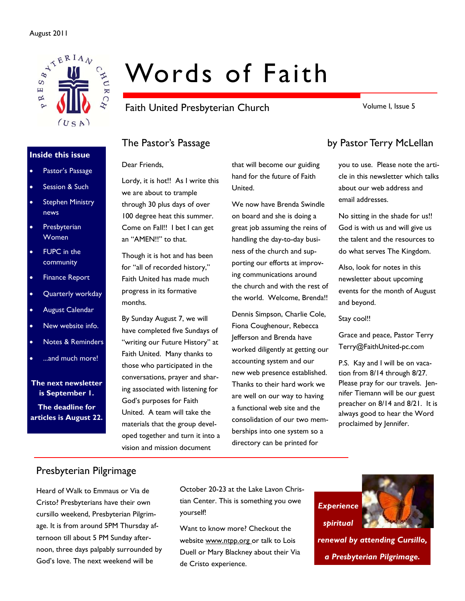

#### **Inside this issue**

- Pastor's Passage
- Session & Such
- Stephen Ministry news
- **Presbyterian** Women
- FUPC in the community
- Finance Report
- Quarterly workday
- August Calendar
- New website info.
- Notes & Reminders
- ...and much more!

**The next newsletter is September 1. The deadline for articles is August 22.** 

# Words of Faith

Faith United Presbyterian Church

Volume I, Issue 5

Dear Friends,

Lordy, it is hot!! As I write this we are about to trample through 30 plus days of over 100 degree heat this summer. Come on Fall!! I bet I can get an "AMEN!!" to that.

Though it is hot and has been for "all of recorded history," Faith United has made much progress in its formative months.

By Sunday August 7, we will have completed five Sundays of "writing our Future History" at Faith United. Many thanks to those who participated in the conversations, prayer and sharing associated with listening for God's purposes for Faith United. A team will take the materials that the group developed together and turn it into a vision and mission document

that will become our guiding hand for the future of Faith United.

We now have Brenda Swindle on board and she is doing a great job assuming the reins of handling the day-to-day business of the church and supporting our efforts at improving communications around the church and with the rest of the world. Welcome, Brenda!!

Dennis Simpson, Charlie Cole, Fiona Coughenour, Rebecca Jefferson and Brenda have worked diligently at getting our accounting system and our new web presence established. Thanks to their hard work we are well on our way to having a functional web site and the consolidation of our two memberships into one system so a directory can be printed for

### The Pastor's Passage by Pastor Terry McLellan

you to use. Please note the article in this newsletter which talks about our web address and email addresses.

No sitting in the shade for us!! God is with us and will give us the talent and the resources to do what serves The Kingdom.

Also, look for notes in this newsletter about upcoming events for the month of August and beyond.

Stay cool!!

Grace and peace, Pastor Terry Terry@FaithUnited-pc.com

P.S. Kay and I will be on vacation from 8/14 through 8/27. Please pray for our travels. Jennifer Tiemann will be our guest preacher on 8/14 and 8/21. It is always good to hear the Word proclaimed by Jennifer.

#### Presbyterian Pilgrimage

Heard of Walk to Emmaus or Via de Cristo? Presbyterians have their own cursillo weekend, Presbyterian Pilgrimage. It is from around 5PM Thursday afternoon till about 5 PM Sunday afternoon, three days palpably surrounded by God's love. The next weekend will be

October 20-23 at the Lake Lavon Christian Center. This is something you owe yourself!

Want to know more? Checkout the website www.ntpp.org or talk to Lois Duell or Mary Blackney about their Via de Cristo experience.



*renewal by attending Cursillo, a Presbyterian Pilgrimage.*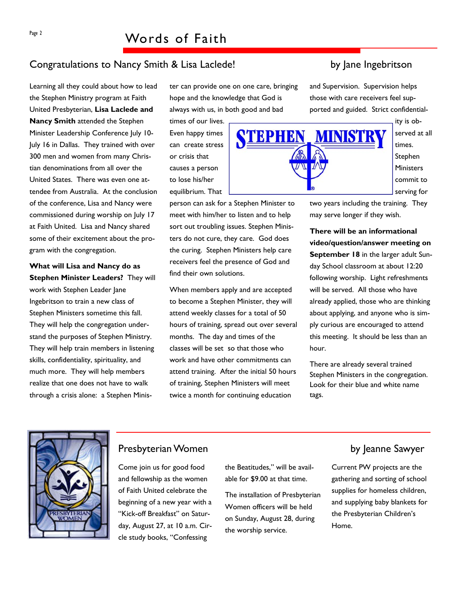#### Congratulations to Nancy Smith & Lisa Laclede! by Jane Ingebritson

Learning all they could about how to lead the Stephen Ministry program at Faith United Presbyterian, **Lisa Laclede and Nancy Smith** attended the Stephen Minister Leadership Conference July 10- July 16 in Dallas. They trained with over 300 men and women from many Christian denominations from all over the United States. There was even one attendee from Australia. At the conclusion of the conference, Lisa and Nancy were commissioned during worship on July 17 at Faith United. Lisa and Nancy shared some of their excitement about the program with the congregation.

**What will Lisa and Nancy do as Stephen Minister Leaders?** They will work with Stephen Leader Jane Ingebritson to train a new class of Stephen Ministers sometime this fall. They will help the congregation understand the purposes of Stephen Ministry. They will help train members in listening skills, confidentiality, spirituality, and much more. They will help members realize that one does not have to walk through a crisis alone: a Stephen Minister can provide one on one care, bringing hope and the knowledge that God is always with us, in both good and bad

times of our lives. Even happy times can create stress or crisis that causes a person to lose his/her equilibrium. That

person can ask for a Stephen Minister to meet with him/her to listen and to help sort out troubling issues. Stephen Ministers do not cure, they care. God does the curing. Stephen Ministers help care receivers feel the presence of God and find their own solutions.

When members apply and are accepted to become a Stephen Minister, they will attend weekly classes for a total of 50 hours of training, spread out over several months. The day and times of the classes will be set so that those who work and have other commitments can attend training. After the initial 50 hours of training, Stephen Ministers will meet twice a month for continuing education

and Supervision. Supervision helps those with care receivers feel supported and guided. Strict confidential-



ity is observed at all times. **Stephen Ministers** commit to serving for

two years including the training. They may serve longer if they wish.

**There will be an informational video/question/answer meeting on September 18** in the larger adult Sunday School classroom at about 12:20 following worship. Light refreshments will be served. All those who have already applied, those who are thinking about applying, and anyone who is simply curious are encouraged to attend this meeting. It should be less than an hour.

There are already several trained Stephen Ministers in the congregation. Look for their blue and white name tags.



#### Presbyterian Women by Jeanne Sawyer

Come join us for good food and fellowship as the women of Faith United celebrate the beginning of a new year with a "Kick-off Breakfast" on Saturday, August 27, at 10 a.m. Circle study books, "Confessing

the Beatitudes," will be available for \$9.00 at that time.

The installation of Presbyterian Women officers will be held on Sunday, August 28, during the worship service.

Current PW projects are the gathering and sorting of school supplies for homeless children, and supplying baby blankets for the Presbyterian Children's Home.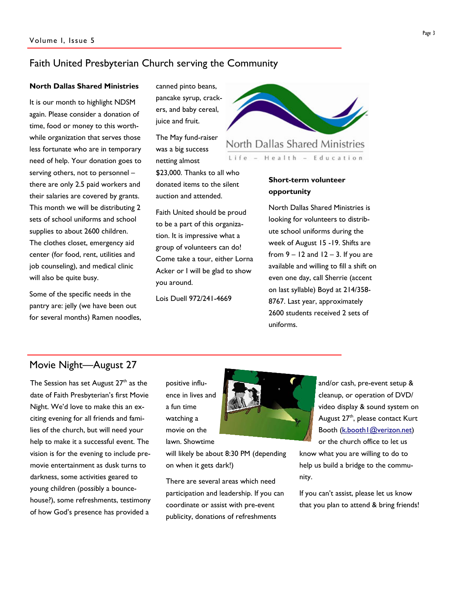#### Faith United Presbyterian Church serving the Community

#### **North Dallas Shared Ministries**

It is our month to highlight NDSM again. Please consider a donation of time, food or money to this worthwhile organization that serves those less fortunate who are in temporary need of help. Your donation goes to serving others, not to personnel – there are only 2.5 paid workers and their salaries are covered by grants. This month we will be distributing 2 sets of school uniforms and school supplies to about 2600 children. The clothes closet, emergency aid center (for food, rent, utilities and job counseling), and medical clinic will also be quite busy.

Some of the specific needs in the pantry are: jelly (we have been out for several months) Ramen noodles, canned pinto beans, pancake syrup, crackers, and baby cereal, juice and fruit.

The May fund-raiser was a big success netting almost \$23,000. Thanks to all who donated items to the silent auction and attended.

Faith United should be proud to be a part of this organization. It is impressive what a group of volunteers can do! Come take a tour, either Lorna Acker or I will be glad to show you around.

Lois Duell 972/241-4669



North Dallas Shared Ministries

Health - Education  $Life -$ 

#### **Short-term volunteer opportunity**

North Dallas Shared Ministries is looking for volunteers to distribute school uniforms during the week of August 15 -19. Shifts are from  $9 - 12$  and  $12 - 3$ . If you are available and willing to fill a shift on even one day, call Sherrie (accent on last syllable) Boyd at 214/358- 8767. Last year, approximately 2600 students received 2 sets of uniforms.

#### Movie Night—August 27

The Session has set August  $27<sup>th</sup>$  as the date of Faith Presbyterian's first Movie Night. We'd love to make this an exciting evening for all friends and families of the church, but will need your help to make it a successful event. The vision is for the evening to include premovie entertainment as dusk turns to darkness, some activities geared to young children (possibly a bouncehouse?), some refreshments, testimony of how God's presence has provided a

positive influence in lives and a fun time watching a movie on the lawn. Showtime

will likely be about 8:30 PM (depending on when it gets dark!)

There are several areas which need participation and leadership. If you can coordinate or assist with pre-event publicity, donations of refreshments



know what you are willing to do to help us build a bridge to the community.

If you can't assist, please let us know that you plan to attend & bring friends!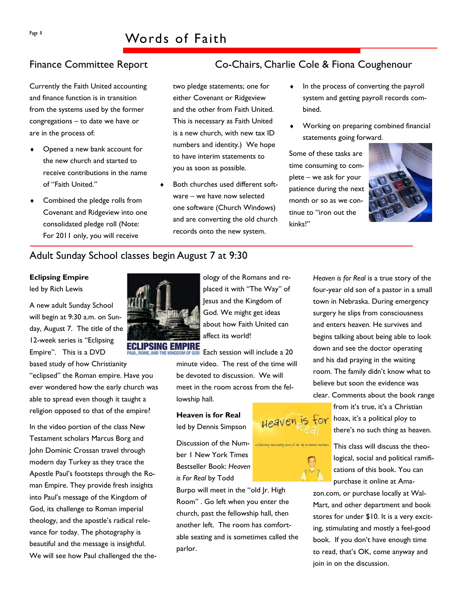Currently the Faith United accounting and finance function is in transition from the systems used by the former congregations – to date we have or are in the process of:

- Opened a new bank account for the new church and started to receive contributions in the name of "Faith United."
- Combined the pledge rolls from Covenant and Ridgeview into one consolidated pledge roll (Note: For 2011 only, you will receive

#### Adult Sunday School classes begin August 7 at 9:30

#### **Eclipsing Empire**

led by Rich Lewis

A new adult Sunday School will begin at 9:30 a.m. on Sunday, August 7. The title of the 12-week series is "Eclipsing Empire". This is a DVD

based study of how Christianity "eclipsed" the Roman empire. Have you ever wondered how the early church was able to spread even though it taught a religion opposed to that of the empire?

In the video portion of the class New Testament scholars Marcus Borg and John Dominic Crossan travel through modern day Turkey as they trace the Apostle Paul's footsteps through the Roman Empire. They provide fresh insights into Paul's message of the Kingdom of God, its challenge to Roman imperial theology, and the apostle's radical relevance for today. The photography is beautiful and the message is insightful. We will see how Paul challenged the the-



two pledge statements; one for either Covenant or Ridgeview and the other from Faith United. This is necessary as Faith United is a new church, with new tax ID numbers and identity.) We hope to have interim statements to you as soon as possible.

Both churches used different software – we have now selected one software (Church Windows) and are converting the old church records onto the new system.

'SING FMPIRF

ology of the Romans and replaced it with "The Way" of Jesus and the Kingdom of God. We might get ideas about how Faith United can

Each session will include a 20 minute video. The rest of the time will be devoted to discussion. We will meet in the room across from the fellowship hall.

Heaven is for

#### **Heaven is for Real**  led by Dennis Simpson

Discussion of the Number 1 New York Times Bestseller Book: *Heaven is For Real* by Todd

Burpo will meet in the "old Jr. High Room" . Go left when you enter the church, past the fellowship hall, then another left. The room has comfortable seating and is sometimes called the parlor.

### Finance Committee Report Co-Chairs, Charlie Cole & Fiona Coughenour

- In the process of converting the payroll system and getting payroll records combined.
- Working on preparing combined financial statements going forward.

Some of these tasks are time consuming to complete – we ask for your patience during the next month or so as we continue to "iron out the kinks!"



*Heaven is for Real* is a true story of the four-year old son of a pastor in a small town in Nebraska. During emergency surgery he slips from consciousness and enters heaven. He survives and begins talking about being able to look down and see the doctor operating and his dad praying in the waiting room. The family didn't know what to believe but soon the evidence was clear. Comments about the book range

> from it's true, it's a Christian hoax, it's a political ploy to there's no such thing as heaven.

This class will discuss the theological, social and political ramifications of this book. You can purchase it online at Ama-

zon.com, or purchase locally at Wal-Mart, and other department and book stores for under \$10. It is a very exciting, stimulating and mostly a feel-good book. If you don't have enough time to read, that's OK, come anyway and join in on the discussion.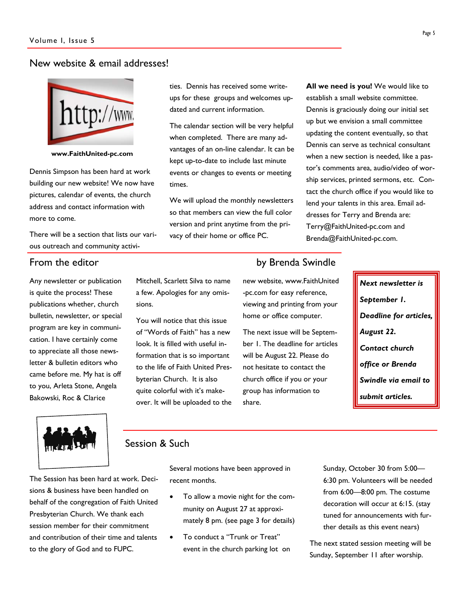#### New website & email addresses!



**www.FaithUnited-pc.com** 

Dennis Simpson has been hard at work building our new website! We now have pictures, calendar of events, the church address and contact information with more to come.

There will be a section that lists our various outreach and community activi-

Any newsletter or publication is quite the process! These publications whether, church bulletin, newsletter, or special program are key in communication. I have certainly come to appreciate all those newsletter & bulletin editors who came before me. My hat is off to you, Arleta Stone, Angela Bakowski, Roc & Clarice

ties. Dennis has received some writeups for these groups and welcomes updated and current information.

The calendar section will be very helpful when completed. There are many advantages of an on-line calendar. It can be kept up-to-date to include last minute events or changes to events or meeting times.

We will upload the monthly newsletters so that members can view the full color version and print anytime from the privacy of their home or office PC.

Mitchell, Scarlett Silva to name a few. Apologies for any omis-

You will notice that this issue of "Words of Faith" has a new look. It is filled with useful information that is so important to the life of Faith United Presbyterian Church. It is also quite colorful with it's makeover. It will be uploaded to the

**All we need is you!** We would like to establish a small website committee. Dennis is graciously doing our initial set up but we envision a small committee updating the content eventually, so that Dennis can serve as technical consultant when a new section is needed, like a pastor's comments area, audio/video of worship services, printed sermons, etc. Contact the church office if you would like to lend your talents in this area. Email addresses for Terry and Brenda are: Terry@FaithUnited-pc.com and Brenda@FaithUnited-pc.com.

#### From the editor **by Brenda Swindle**

new website, www.FaithUnited -pc.com for easy reference, viewing and printing from your home or office computer.

The next issue will be September 1. The deadline for articles will be August 22. Please do not hesitate to contact the church office if you or your group has information to share.

*Next newsletter is September 1. Deadline for articles, August 22. Contact church office or Brenda Swindle via email to submit articles.* 



#### Session & Such

sions.

The Session has been hard at work. Decisions & business have been handled on behalf of the congregation of Faith United Presbyterian Church. We thank each session member for their commitment and contribution of their time and talents to the glory of God and to FUPC.

Several motions have been approved in recent months.

- To allow a movie night for the community on August 27 at approximately 8 pm. (see page 3 for details)
- To conduct a "Trunk or Treat" event in the church parking lot on

Sunday, October 30 from 5:00— 6:30 pm. Volunteers will be needed from 6:00—8:00 pm. The costume decoration will occur at 6:15. (stay tuned for announcements with further details as this event nears)

The next stated session meeting will be Sunday, September 11 after worship.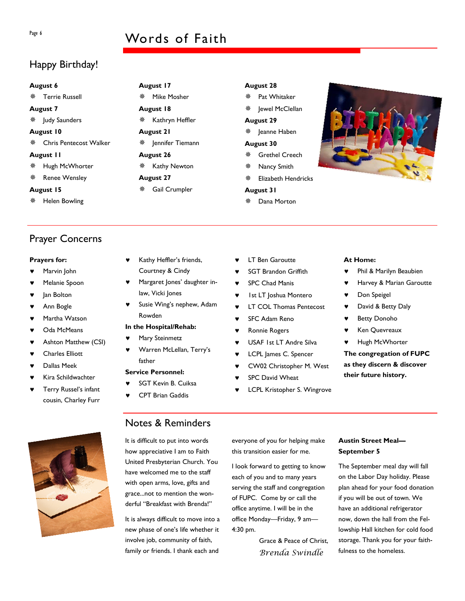### Page 6 Words of Faith

**August 17 ※ Mike Mosher** 

**August 18** 

**August 21** 

**August 26** 

**August 27** 

※ Kathryn Heffler

※ Jennifer Tiemann

Kathy Newton

Gail Crumpler

Kathy Heffler's friends, Courtney & Cindy

law, Vicki Jones

**In the Hospital/Rehab:**  Mary Steinmetz

Rowden

father **Service Personnel:** 

Margaret Jones' daughter in-

Susie Wing's nephew, Adam

Warren McLellan, Terry's

### Happy Birthday!

#### **August 6**

**※ Terrie Russell** 

**August 7** 

- ※ Judy Saunders
- **August 10**
- Chris Pentecost Walker

#### **August 11**

- **※ Hugh McWhorter**
- ※ Renee Wensley

#### **August 15**

※ Helen Bowling

#### Prayer Concerns

#### **Prayers for:**

- Marvin John
- Melanie Spoon
- Jan Bolton
- Ann Bogle
- Martha Watson
- Oda McMeans
- ♥ Ashton Matthew (CSI)
- ♥ Charles Elliott
- Dallas Meek
- Kira Schildwachter
- Terry Russel's infant cousin, Charley Furr



#### Notes & Reminders

SGT Kevin B. Cuiksa **CPT Brian Gaddis** 

It is difficult to put into words how appreciative I am to Faith United Presbyterian Church. You have welcomed me to the staff with open arms, love, gifts and grace...not to mention the wonderful "Breakfast with Brenda!"

It is always difficult to move into a new phase of one's life whether it involve job, community of faith, family or friends. I thank each and

- **LT Ben Garoutte**
- **SGT Brandon Griffith**
- ♥ SPC Chad Manis
- ♥ 1st LT Joshua Montero
- **LT COL Thomas Pentecost**
- **SFC Adam Reno**
- Ronnie Rogers
- ♥ USAF 1st LT Andre Silva
- ♥ LCPL James C. Spencer
- ♥ CW02 Christopher M. West
- SPC David Wheat
- LCPL Kristopher S. Wingrove

#### **At Home:**

- ♥ Phil & Marilyn Beaubien
- Harvey & Marian Garoutte
- ♥ Don Speigel
- ♥ David & Betty Daly
- **Betty Donoho**
- Ken Quevreaux
- ♥ Hugh McWhorter

**The congregation of FUPC as they discern & discover their future history.** 

everyone of you for helping make this transition easier for me.

I look forward to getting to know each of you and to many years serving the staff and congregation of FUPC. Come by or call the office anytime. I will be in the office Monday—Friday, 9 am— 4:30 pm.

> Grace & Peace of Christ, *Brenda Swindle*

#### **Austin Street Meal— September 5**

The September meal day will fall on the Labor Day holiday. Please plan ahead for your food donation if you will be out of town. We have an additional refrigerator now, down the hall from the Fellowship Hall kitchen for cold food storage. Thank you for your faithfulness to the homeless.

#### **August 28**  Pat Whitaker Jewel McClellan **August 29**  Jeanne Haben **August 30**  Grethel Creech

- Nancy Smith
- Elizabeth Hendricks

#### **August 31**

Dana Morton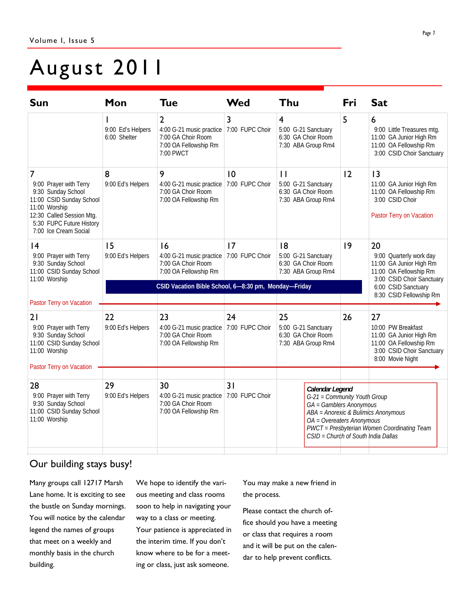## August 2011

| <b>Sun</b>                                                                                                                                                                                    | Mon                                                  | <b>Tue</b>                                                                                                             | Wed                   | Thu                                                                                                                                                                                                                                  | Fri | <b>Sat</b>                                                                                                                     |
|-----------------------------------------------------------------------------------------------------------------------------------------------------------------------------------------------|------------------------------------------------------|------------------------------------------------------------------------------------------------------------------------|-----------------------|--------------------------------------------------------------------------------------------------------------------------------------------------------------------------------------------------------------------------------------|-----|--------------------------------------------------------------------------------------------------------------------------------|
|                                                                                                                                                                                               | 9:00 Ed's Helpers<br>6:00 Shelter                    | $\overline{2}$<br>4:00 G-21 music practice 7:00 FUPC Choir<br>7:00 GA Choir Room<br>7:00 OA Fellowship Rm<br>7:00 PWCT | 3                     | 4<br>5:00 G-21 Sanctuary<br>6:30 GA Choir Room<br>7:30 ABA Group Rm4                                                                                                                                                                 | 5   | 6<br>9:00 Little Treasures mtg.<br>11:00 GA Junior High Rm<br>11:00 OA Fellowship Rm<br>3:00 CSID Choir Sanctuary              |
| $\overline{7}$<br>9:00 Prayer with Terry<br>9:30 Sunday School<br>11:00 CSID Sunday School<br>11:00 Worship<br>12:30 Called Session Mtg.<br>5:30 FUPC Future History<br>7:00 Ice Cream Social | 8<br>9:00 Ed's Helpers                               | 9<br>4:00 G-21 music practice<br>7:00 GA Choir Room<br>7:00 OA Fellowship Rm                                           | 10<br>7:00 FUPC Choir | $\mathbf{H}$<br>5:00 G-21 Sanctuary<br>6:30 GA Choir Room<br>7:30 ABA Group Rm4                                                                                                                                                      | 12  | 3<br>11:00 GA Junior High Rm<br>11:00 OA Fellowship Rm<br>3:00 CSID Choir<br>Pastor Terry on Vacation                          |
| $\overline{14}$<br>9:00 Prayer with Terry<br>9:30 Sunday School<br>11:00 CSID Sunday School<br>11:00 Worship<br>Pastor Terry on Vacation                                                      | 15<br>9:00 Ed's Helpers                              | 16<br>4:00 G-21 music practice 7:00 FUPC Choir<br>7:00 GA Choir Room<br>7:00 OA Fellowship Rm                          | 17                    | 8<br>5:00 G-21 Sanctuary<br>6:30 GA Choir Room<br>7:30 ABA Group Rm4                                                                                                                                                                 | 9   | 20<br>9:00 Quarterly work day<br>11:00 GA Junior High Rm<br>11:00 OA Fellowship Rm<br>3:00 CSID Choir Sanctuary                |
|                                                                                                                                                                                               | CSID Vacation Bible School, 6-8:30 pm, Monday-Friday |                                                                                                                        |                       |                                                                                                                                                                                                                                      |     | 6:00 CSID Sanctuary<br>8:30 CSID Fellowship Rm                                                                                 |
| 21<br>9:00 Prayer with Terry<br>9:30 Sunday School<br>11:00 CSID Sunday School<br>11:00 Worship                                                                                               | 22<br>9:00 Ed's Helpers                              | 23<br>4:00 G-21 music practice<br>7:00 GA Choir Room<br>7:00 OA Fellowship Rm                                          | 24<br>7:00 FUPC Choir | 25<br>5:00 G-21 Sanctuary<br>6:30 GA Choir Room<br>7:30 ABA Group Rm4                                                                                                                                                                | 26  | 27<br>10:00 PW Breakfast<br>11:00 GA Junior High Rm<br>11:00 OA Fellowship Rm<br>3:00 CSID Choir Sanctuary<br>8:00 Movie Night |
| Pastor Terry on Vacation                                                                                                                                                                      |                                                      |                                                                                                                        |                       |                                                                                                                                                                                                                                      |     |                                                                                                                                |
| 28<br>9:00 Prayer with Terry<br>9:30 Sunday School<br>11:00 CSID Sunday School<br>11:00 Worship                                                                                               | 29<br>9:00 Ed's Helpers                              | 30<br>4:00 G-21 music practice<br>7:00 GA Choir Room<br>7:00 OA Fellowship Rm                                          | 31<br>7:00 FUPC Choir | Calendar Legend<br>G-21 = Community Youth Group<br>GA = Gamblers Anonymous<br>ABA = Anorexic & Bulimics Anonymous<br>OA = Overeaters Anonymous<br>PWCT = Presbyterian Women Coordinating Team<br>CSID = Church of South India Dallas |     |                                                                                                                                |

### Our building stays busy!

Many groups call 12717 Marsh Lane home. It is exciting to see the bustle on Sunday mornings. You will notice by the calendar legend the names of groups that meet on a weekly and monthly basis in the church building.

We hope to identify the various meeting and class rooms soon to help in navigating your way to a class or meeting. Your patience is appreciated in the interim time. If you don't know where to be for a meeting or class, just ask someone.

You may make a new friend in the process.

Please contact the church office should you have a meeting or class that requires a room and it will be put on the calendar to help prevent conflicts.